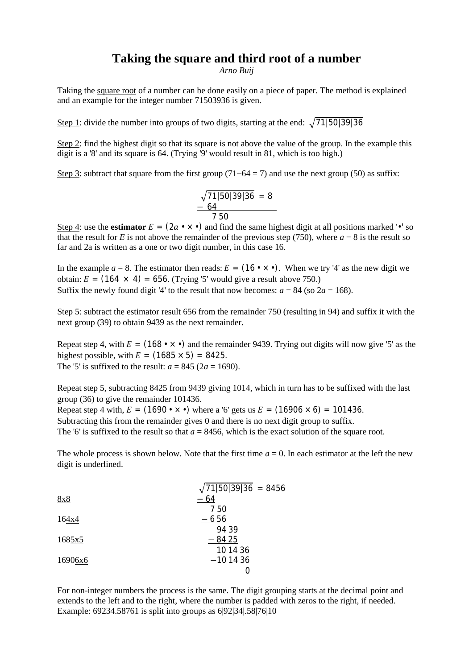## **Taking the square and third root of a number**

*Arno Buij*

Taking the square root of a number can be done easily on a piece of paper. The method is explained and an example for the integer number 71503936 is given.

Step 1: divide the number into groups of two digits, starting at the end:  $\sqrt{71|50|39|36}$ 

Step 2: find the highest digit so that its square is not above the value of the group. In the example this digit is a '8' and its square is 64. (Trying '9' would result in 81, which is too high.)

Step 3: subtract that square from the first group  $(71-64 = 7)$  and use the next group (50) as suffix:

$$
\sqrt{71|50|39|36} = 8
$$
  
- 64  
7 50

Step 4: use the **estimator**  $E = (2a \cdot \times \cdot)$  and find the same highest digit at all positions marked ' $\cdot$ ' so that the result for *E* is not above the remainder of the previous step (750), where  $a = 8$  is the result so far and 2a is written as a one or two digit number, in this case 16.

In the example  $a = 8$ . The estimator then reads:  $E = (16 \cdot \times \cdot)$ . When we try '4' as the new digit we obtain:  $E = (164 \times 4) = 656$ . (Trying '5' would give a result above 750.) Suffix the newly found digit '4' to the result that now becomes:  $a = 84$  (so  $2a = 168$ ).

Step 5: subtract the estimator result 656 from the remainder 750 (resulting in 94) and suffix it with the next group (39) to obtain 9439 as the next remainder.

Repeat step 4, with  $E = (168 \cdot \times \cdot)$  and the remainder 9439. Trying out digits will now give '5' as the highest possible, with  $E = (1685 \times 5) = 8425$ . The '5' is suffixed to the result:  $a = 845$  ( $2a = 1690$ ).

Repeat step 5, subtracting 8425 from 9439 giving 1014, which in turn has to be suffixed with the last group (36) to give the remainder 101436.

Repeat step 4 with,  $E = (1690 \cdot x \cdot)$  where a '6' gets us  $E = (16906 \times 6) = 101436$ .

Subtracting this from the remainder gives 0 and there is no next digit group to suffix.

The '6' is suffixed to the result so that  $a = 8456$ , which is the exact solution of the square root.

The whole process is shown below. Note that the first time  $a = 0$ . In each estimator at the left the new digit is underlined.

|         | $\sqrt{71 50 39 36}$ = 8456 |
|---------|-----------------------------|
| 8x8     | $-64$                       |
|         | 750                         |
| 164x4   | $-656$                      |
|         | 94 39                       |
| 1685x5  | $-8425$                     |
|         | 10 14 36                    |
| 16906x6 | $-101436$                   |
|         | U                           |
|         |                             |

For non-integer numbers the process is the same. The digit grouping starts at the decimal point and extends to the left and to the right, where the number is padded with zeros to the right, if needed. Example: 69234.58761 is split into groups as 6|92|34|.58|76|10